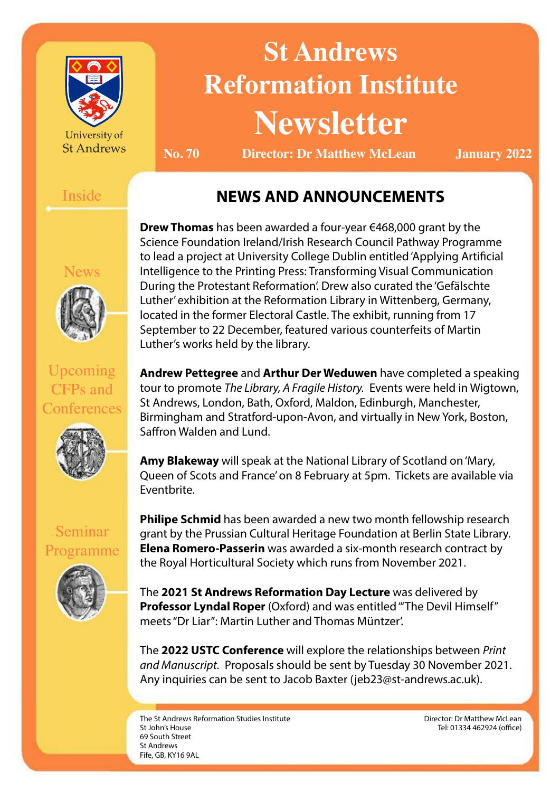

University of **St Andrews** 

# **St Andrews Reformation Institute Newsletter**

**No. 70 Director: Dr Matthew McLean January 2022**

#### Inside

# **NEWS AND ANNOUNCEMENTS**

News



Upcoming CFPs and **Conferences** 



**Drew Thomas** has been awarded a four-year €468,000 grant by the Science Foundation Ireland/Irish Research Council Pathway Programme to lead a project at University College Dublin entitled 'Applying Artificial Intelligence to the Printing Press: Transforming Visual Communication During the Protestant Reformation'. Drew also curated the 'Gefälschte Luther' exhibition at the Reformation Library in Wittenberg, Germany, located in the former Electoral Castle. The exhibit, running from 17 September to 22 December, featured various counterfeits of Martin Luther's works held by the library.

**Andrew Pettegree** and **Arthur Der Weduwen** have completed a speaking tour to promote *The Library, A Fragile History.* Events were held in Wigtown, St Andrews, London, Bath, Oxford, Maldon, Edinburgh, Manchester, Birmingham and Stratford-upon-Avon, and virtually in New York, Boston, Saffron Walden and Lund.

**Amy Blakeway** will speak at the National Library of Scotland on 'Mary, Queen of Scots and France' on 8 February at 5pm. Tickets are available via [Eventbrite.](https://www.eventbrite.ca/e/mary-queen-of-scots-and-france-tickets-240132140697)

Seminar Programme



**Philipe Schmid** has been awarded a new two month fellowship research grant by the Prussian Cultural Heritage Foundation at Berlin State Library. **Elena Romero-Passerin** was awarded a six-month research contract by the Royal Horticultural Society which runs from November 2021.

The **2021 St Andrews Reformation Day Lecture** was delivered by **Professor Lyndal Roper** (Oxford) and was entitled "The Devil Himself" meets "Dr Liar": Martin Luther and Thomas Müntzer'.

The **2022 USTC Conference** will explore the relationships between *Print and Manuscript.* Proposals should be sent by Tuesday 30 November 2021. Any inquiries can be sent to Jacob Baxter [\(jeb23@st-andrews.ac.uk\).](mailto:jeb23%40st-andrews.ac.uk?subject=)

The St Andrews Reformation Studies Institute St John's House 69 South Street St Andrews Fife, GB, KY16 9AL

Director: Dr Matthew McLean Tel: 01334 462924 (office)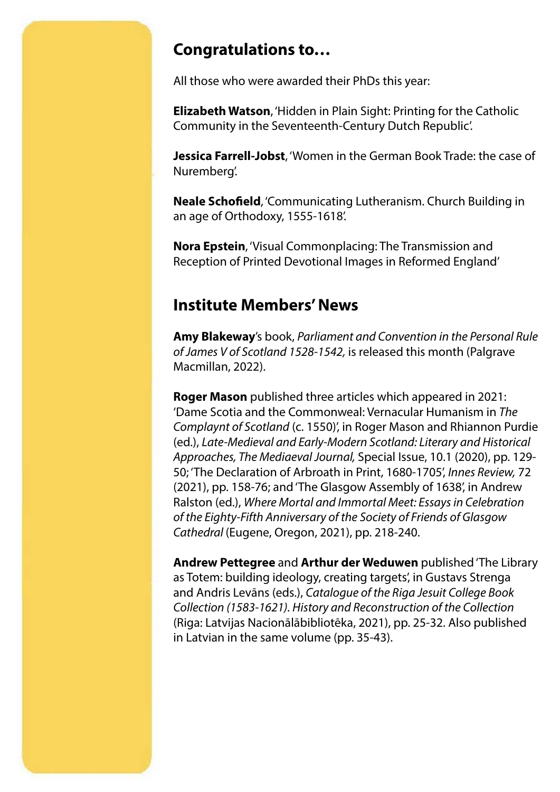### **Congratulations to…**

All those who were awarded their PhDs this year:

**Elizabeth Watson**, 'Hidden in Plain Sight: Printing for the Catholic Community in the Seventeenth-Century Dutch Republic'.

**Jessica Farrell-Jobst**, 'Women in the German Book Trade: the case of Nuremberg'.

**Neale Schofield**, 'Communicating Lutheranism. Church Building in an age of Orthodoxy, 1555-1618'.

**Nora Epstein**, 'Visual Commonplacing: The Transmission and Reception of Printed Devotional Images in Reformed England'

#### **Institute Members' News**

**Amy Blakeway**'s book, *Parliament and Convention in the Personal Rule of James V of Scotland 1528-1542,* is released this month (Palgrave Macmillan, 2022).

**Roger Mason** published three articles which appeared in 2021: 'Dame Scotia and the Commonweal: Vernacular Humanism in *The Complaynt of Scotland* (c. 1550)', in Roger Mason and Rhiannon Purdie (ed.), *Late-Medieval and Early-Modern Scotland: Literary and Historical Approaches, The Mediaeval Journal,* Special Issue, 10.1 (2020), pp. 129- 50; 'The Declaration of Arbroath in Print, 1680-1705', *Innes Review,* 72 (2021), pp. 158-76; and 'The Glasgow Assembly of 1638', in Andrew Ralston (ed.), *Where Mortal and Immortal Meet: Essays in Celebration of the Eighty-Fifth Anniversary of the Society of Friends of Glasgow Cathedral* (Eugene, Oregon, 2021), pp. 218-240.

**Andrew Pettegree** and **Arthur der Weduwen** published 'The Library as Totem: building ideology, creating targets', in Gustavs Strenga and Andris Levāns (eds.), *Catalogue of the Riga Jesuit College Book Collection (1583-1621). History and Reconstruction of the Collection*  (Riga: Latvijas Nacionālābibliotēka, 2021), pp. 25-32. Also published in Latvian in the same volume (pp. 35-43).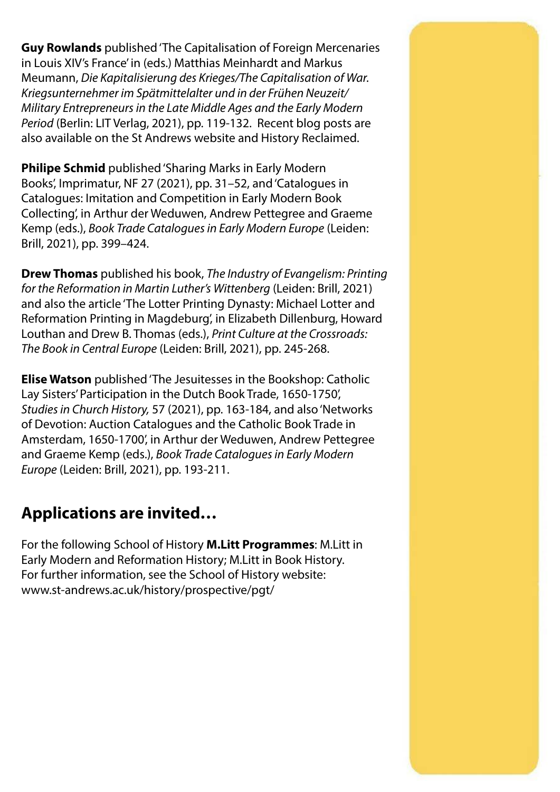**Guy Rowlands** published 'The Capitalisation of Foreign Mercenaries in Louis XIV's France' in (eds.) Matthias Meinhardt and Markus Meumann, *Die Kapitalisierung des Krieges/The Capitalisation of War. Kriegsunternehmer im Spätmittelalter und in der Frühen Neuzeit/ Military Entrepreneurs in the Late Middle Ages and the Early Modern Period* (Berlin: LIT Verlag, 2021), pp. 119-132. Recent blog posts are also available on the [St Andrews website](https://standrewsschoolofhistory.wordpress.com/2021/12/07/disability-month-2021-a-chip-off-the-old-block-the-duc-du-maine-son-of-louis-xiv/) and [History Reclaimed](https://historyreclaimed.co.uk/injustice-the-casting-of-blame-in-history-the-melville-monument-and-edinburghs-confrontation-with-its-imperial-past/).

**Philipe Schmid** published 'Sharing Marks in Early Modern Books', Imprimatur, NF 27 (2021), pp. 31–52, and 'Catalogues in Catalogues: Imitation and Competition in Early Modern Book Collecting', in Arthur der Weduwen, Andrew Pettegree and Graeme Kemp (eds.), *Book Trade Catalogues in Early Modern Europe* (Leiden: Brill, 2021), pp. 399–424.

**Drew Thomas** published his book, *The Industry of Evangelism: Printing for the Reformation in Martin Luther's Wittenberg* (Leiden: Brill, 2021) and also the article 'The Lotter Printing Dynasty: Michael Lotter and Reformation Printing in Magdeburg', in Elizabeth Dillenburg, Howard Louthan and Drew B. Thomas (eds.), *Print Culture at the Crossroads: The Book in Central Europe* (Leiden: Brill, 2021), pp. 245-268.

**Elise Watson** published 'The Jesuitesses in the Bookshop: Catholic Lay Sisters' Participation in the Dutch Book Trade, 1650-1750', *Studies in Church History,* 57 (2021), pp. 163-184, and also 'Networks of Devotion: Auction Catalogues and the Catholic Book Trade in Amsterdam, 1650-1700', in Arthur der Weduwen, Andrew Pettegree and Graeme Kemp (eds.), *Book Trade Catalogues in Early Modern Europe* (Leiden: Brill, 2021), pp. 193-211.

# **Applications are invited…**

For the following School of History **M.Litt Programmes**: M.Litt in Early Modern and Reformation History; M.Litt in Book History. For further information, see the School of History website: [www.st-andrews.ac.uk/history/prospective/pgt/](https://www.st-andrews.ac.uk/history/prospective/pgt/)